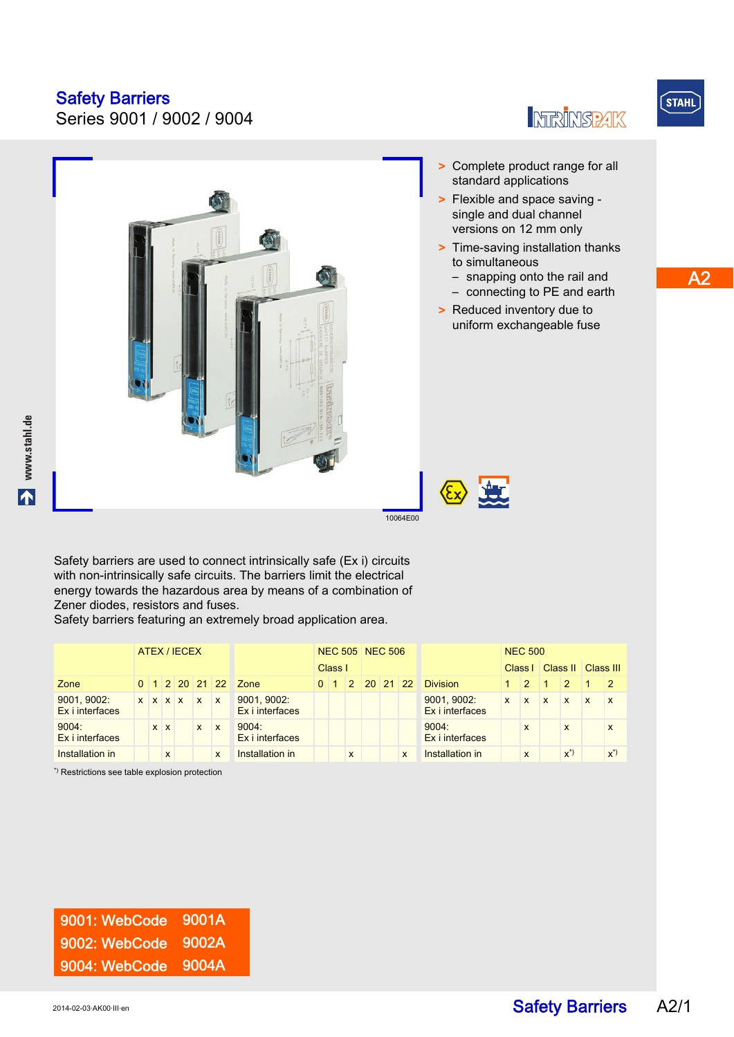Series 9001 / 9002 / 9004

> Complete product range for all

- standard applications > Flexible and space saving single and dual channel versions on 12 mm only
- > Time-saving installation thanks to simultaneous
	- snapping onto the rail and
	- connecting to PE and earth
- > Reduced inventory due to uniform exchangeable fuse

www.stahl.de **www.stahl.de**

10064E00

Safety barriers are used to connect intrinsically safe (Ex i) circuits with non-intrinsically safe circuits. The barriers limit the electrical energy towards the hazardous area by means of a combination of Zener diodes, resistors and fuses.

Safety barriers featuring an extremely broad application area.

|                                                                                                                                                                                                                                   | ATEX / IECEX |  |              |                 |              |              |                                | <b>NEC 505 NEC 506</b> |  |              |  |                                           |   |                                | <b>NEC 500</b> |              |              |              |              |                |
|-----------------------------------------------------------------------------------------------------------------------------------------------------------------------------------------------------------------------------------|--------------|--|--------------|-----------------|--------------|--------------|--------------------------------|------------------------|--|--------------|--|-------------------------------------------|---|--------------------------------|----------------|--------------|--------------|--------------|--------------|----------------|
|                                                                                                                                                                                                                                   |              |  |              |                 |              | Class I      |                                |                        |  |              |  | Class I                                   |   | Class II   Class III           |                |              |              |              |              |                |
| Zone                                                                                                                                                                                                                              |              |  |              |                 |              |              | 0 1 2 20 21 22 Zone            |                        |  |              |  | $0 \mid 1 \mid 2 \mid 20 \mid 21 \mid 22$ |   | <b>Division</b>                |                | $-12-$       |              | 2            |              | $\overline{2}$ |
| 9001, 9002:<br>Ex i interfaces                                                                                                                                                                                                    |              |  |              | $X$ $X$ $X$ $X$ |              | $\mathbf{x}$ | 9001, 9002:<br>Ex i interfaces |                        |  |              |  |                                           |   | 9001, 9002:<br>Ex i interfaces | $\mathbf{x}$   | $\mathbf{x}$ | $\mathbf{x}$ | $\mathbf{x}$ | $\mathbf{x}$ | $\mathbf{x}$   |
| 9004:<br>Ex i interfaces                                                                                                                                                                                                          |              |  | $x \mid x$   |                 | $\mathsf{x}$ | $\mathbf{x}$ | 9004:<br>Ex i interfaces       |                        |  |              |  |                                           |   | 9004:<br>Ex i interfaces       |                | X            |              | X            |              | X              |
| Installation in                                                                                                                                                                                                                   |              |  | $\mathsf{x}$ |                 |              | X            | Installation in                |                        |  | $\mathsf{x}$ |  |                                           | X | Installation in                |                | X            |              | $x^*$        |              | $x^*)$         |
| $\mathcal{N}$ , and the set of the set of the set of the set of the set of the set of the set of the set of the set of the set of the set of the set of the set of the set of the set of the set of the set of the set of the set |              |  |              |                 |              |              |                                |                        |  |              |  |                                           |   |                                |                |              |              |              |              |                |

Restrictions see table explosion protection



**INFRINSPAK** 

 $S$ TAHL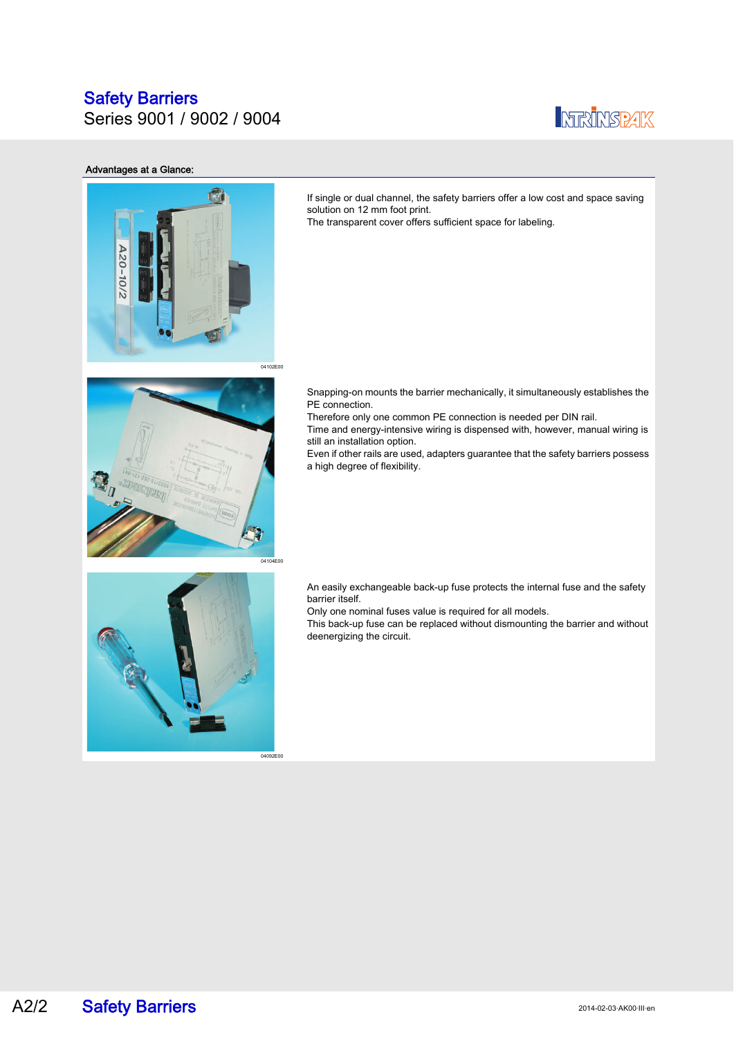Series 9001 / 9002 / 9004



### Advantages at a Glance:



If single or dual channel, the safety barriers offer a low cost and space saving solution on 12 mm foot print.

The transparent cover offers sufficient space for labeling.



Snapping-on mounts the barrier mechanically, it simultaneously establishes the PE connection.

Therefore only one common PE connection is needed per DIN rail.

Time and energy-intensive wiring is dispensed with, however, manual wiring is still an installation option.

Even if other rails are used, adapters guarantee that the safety barriers possess a high degree of flexibility.



An easily exchangeable back-up fuse protects the internal fuse and the safety barrier itself.

Only one nominal fuses value is required for all models.

This back-up fuse can be replaced without dismounting the barrier and without deenergizing the circuit.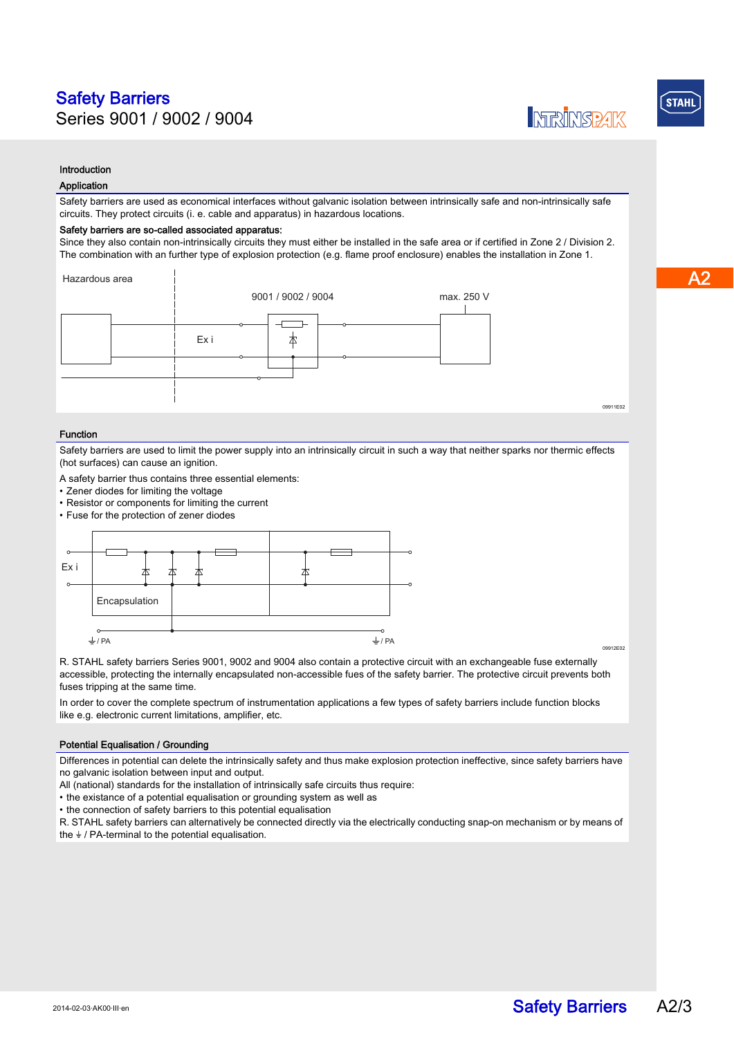### Introduction

### Application

Safety barriers are used as economical interfaces without galvanic isolation between intrinsically safe and non-intrinsically safe circuits. They protect circuits (i. e. cable and apparatus) in hazardous locations.

#### Safety barriers are so-called associated apparatus:

Since they also contain non-intrinsically circuits they must either be installed in the safe area or if certified in Zone 2 / Division 2. The combination with an further type of explosion protection (e.g. flame proof enclosure) enables the installation in Zone 1.



#### Function

Safety barriers are used to limit the power supply into an intrinsically circuit in such a way that neither sparks nor thermic effects (hot surfaces) can cause an ignition.

A safety barrier thus contains three essential elements:

- Zener diodes for limiting the voltage
- Resistor or components for limiting the current
- Fuse for the protection of zener diodes



09912E02

09911E02

**INTERFINIST ARE** 

R. STAHL safety barriers Series 9001, 9002 and 9004 also contain a protective circuit with an exchangeable fuse externally accessible, protecting the internally encapsulated non-accessible fues of the safety barrier. The protective circuit prevents both fuses tripping at the same time.

In order to cover the complete spectrum of instrumentation applications a few types of safety barriers include function blocks like e.g. electronic current limitations, amplifier, etc.

### Potential Equalisation / Grounding

Differences in potential can delete the intrinsically safety and thus make explosion protection ineffective, since safety barriers have no galvanic isolation between input and output.

All (national) standards for the installation of intrinsically safe circuits thus require:

• the existance of a potential equalisation or grounding system as well as

• the connection of safety barriers to this potential equalisation

R. STAHL safety barriers can alternatively be connected directly via the electrically conducting snap-on mechanism or by means of the  $\frac{1}{2}$  / PA-terminal to the potential equalisation.

**STAHL**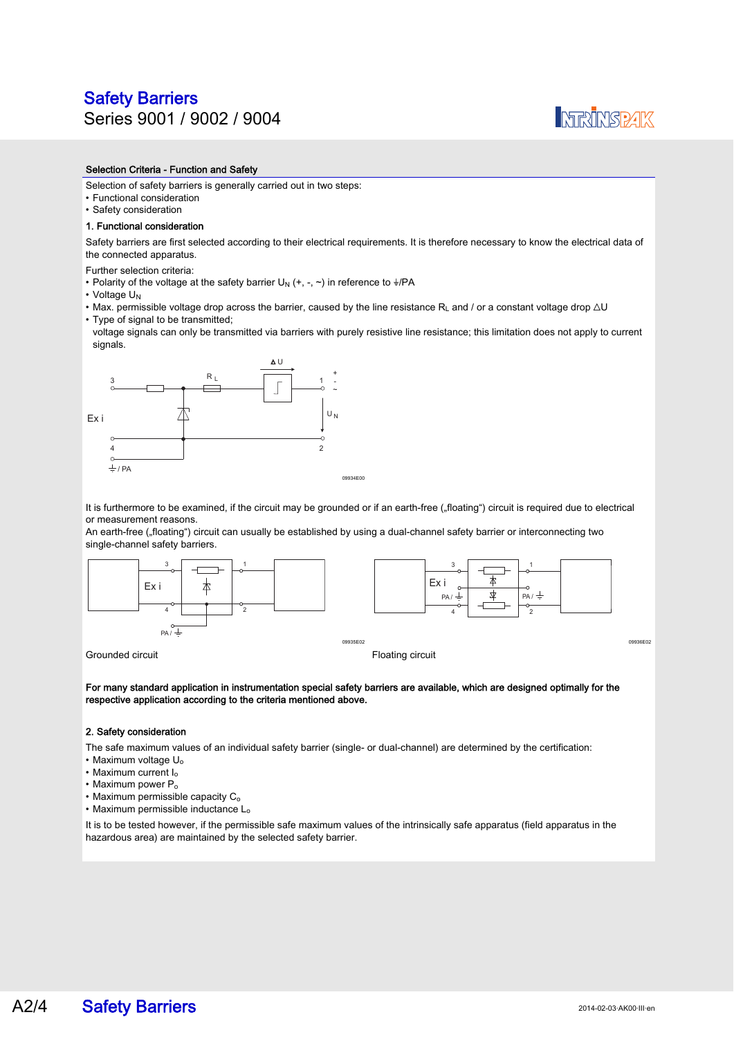### Safety Barriers Series 9001 / 9002 / 9004



### Selection Criteria - Function and Safety

Selection of safety barriers is generally carried out in two steps:

- Functional consideration
- Safety consideration

### 1. Functional consideration

Safety barriers are first selected according to their electrical requirements. It is therefore necessary to know the electrical data of the connected apparatus.

Further selection criteria:

- Polarity of the voltage at the safety barrier U<sub>N</sub> (+, -,  $\sim$ ) in reference to  $\frac{1}{2}$ /PA
- Voltage U<sub>N</sub>
- Max. permissible voltage drop across the barrier, caused by the line resistance R<sub>L</sub> and / or a constant voltage drop  $\Delta U$
- Type of signal to be transmitted; voltage signals can only be transmitted via barriers with purely resistive line resistance; this limitation does not apply to current



It is furthermore to be examined, if the circuit may be grounded or if an earth-free ("floating") circuit is required due to electrical or measurement reasons.

An earth-free ("floating") circuit can usually be established by using a dual-channel safety barrier or interconnecting two single-channel safety barriers.



For many standard application in instrumentation special safety barriers are available, which are designed optimally for the respective application according to the criteria mentioned above.

#### 2. Safety consideration

The safe maximum values of an individual safety barrier (single- or dual-channel) are determined by the certification:

- Maximum voltage U<sub>o</sub>
- Maximum current Io
- Maximum power P<sub>o</sub>
- $\cdot$  Maximum permissible capacity  $C_0$
- Maximum permissible inductance L<sub>o</sub>

It is to be tested however, if the permissible safe maximum values of the intrinsically safe apparatus (field apparatus in the hazardous area) are maintained by the selected safety barrier.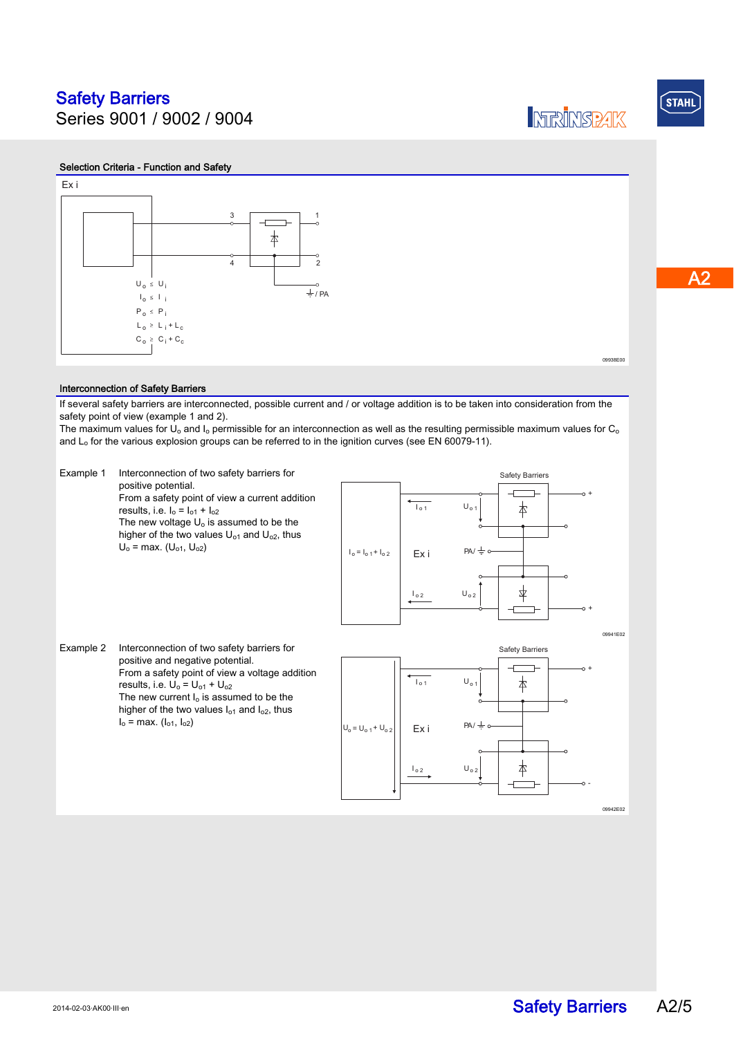Ex i

Series 9001 / 9002 / 9004

# Selection Criteria - Function and Safety  $3 \t 1$



09938E00

**INTERFINISTRATIC** 

### Interconnection of Safety Barriers

If several safety barriers are interconnected, possible current and / or voltage addition is to be taken into consideration from the safety point of view (example 1 and 2).

The maximum values for U<sub>o</sub> and I<sub>o</sub> permissible for an interconnection as well as the resulting permissible maximum values for C<sub>o</sub> and  $L_0$  for the various explosion groups can be referred to in the ignition curves (see EN 60079-11).



**STAHL**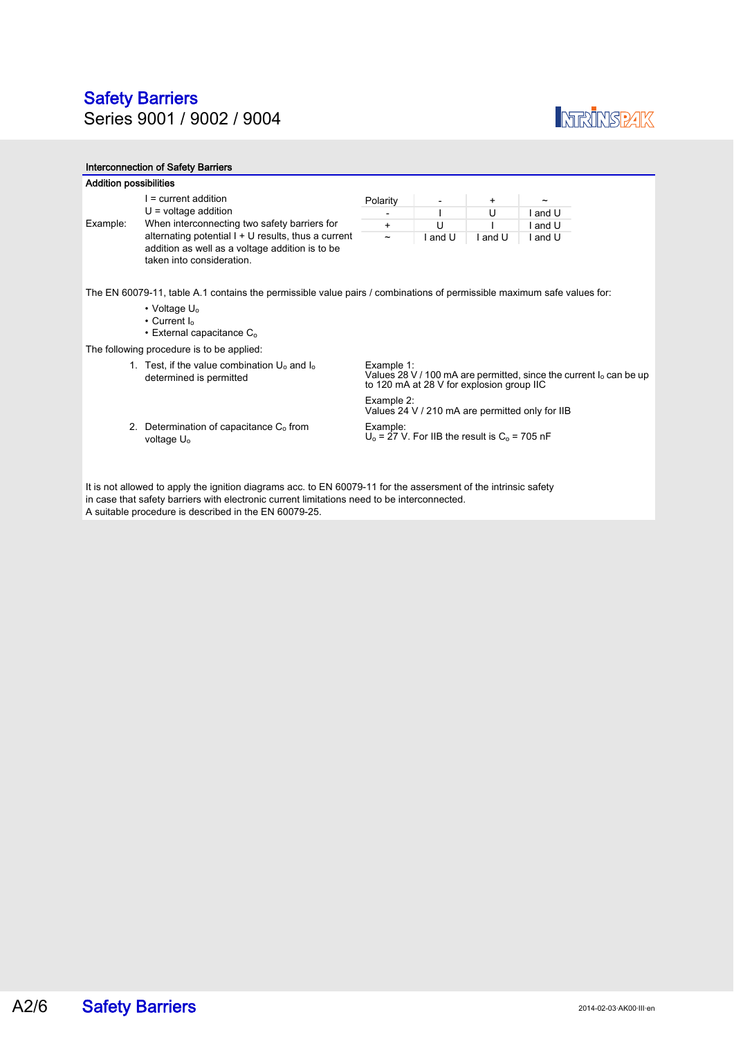### Safety Barriers Series 9001 / 9002 / 9004



| <b>Interconnection of Safety Barriers</b>                                                                                                                                                                      |                                                                                                                                       |                                                                                                                                  |                                                    |           |       |  |  |  |  |
|----------------------------------------------------------------------------------------------------------------------------------------------------------------------------------------------------------------|---------------------------------------------------------------------------------------------------------------------------------------|----------------------------------------------------------------------------------------------------------------------------------|----------------------------------------------------|-----------|-------|--|--|--|--|
| <b>Addition possibilities</b>                                                                                                                                                                                  |                                                                                                                                       |                                                                                                                                  |                                                    |           |       |  |  |  |  |
|                                                                                                                                                                                                                | $=$ current addition                                                                                                                  | Polarity                                                                                                                         | $\overline{\phantom{a}}$                           | $\ddot{}$ |       |  |  |  |  |
|                                                                                                                                                                                                                | $U =$ voltage addition                                                                                                                |                                                                                                                                  |                                                    | U         | and U |  |  |  |  |
| Example:                                                                                                                                                                                                       | When interconnecting two safety barriers for                                                                                          | $+$                                                                                                                              | U                                                  |           | and U |  |  |  |  |
|                                                                                                                                                                                                                | alternating potential $I + U$ results, thus a current<br>addition as well as a voltage addition is to be<br>taken into consideration. |                                                                                                                                  | l and U                                            | I and U   | and U |  |  |  |  |
| The EN 60079-11, table A.1 contains the permissible value pairs / combinations of permissible maximum safe values for:                                                                                         |                                                                                                                                       |                                                                                                                                  |                                                    |           |       |  |  |  |  |
|                                                                                                                                                                                                                | • Voltage $U_0$                                                                                                                       |                                                                                                                                  |                                                    |           |       |  |  |  |  |
|                                                                                                                                                                                                                | • Current $I_0$                                                                                                                       |                                                                                                                                  |                                                    |           |       |  |  |  |  |
|                                                                                                                                                                                                                | $\cdot$ External capacitance $C_0$                                                                                                    |                                                                                                                                  |                                                    |           |       |  |  |  |  |
|                                                                                                                                                                                                                | The following procedure is to be applied:                                                                                             |                                                                                                                                  |                                                    |           |       |  |  |  |  |
|                                                                                                                                                                                                                | 1. Test, if the value combination $U_0$ and $I_0$<br>determined is permitted                                                          | Example 1:<br>Values 28 V / 100 mA are permitted, since the current $I_0$ can be up<br>to 120 mA at 28 V for explosion group IIC |                                                    |           |       |  |  |  |  |
|                                                                                                                                                                                                                |                                                                                                                                       | Example 2:                                                                                                                       | Values 24 V / 210 mA are permitted only for IIB    |           |       |  |  |  |  |
|                                                                                                                                                                                                                | 2. Determination of capacitance $C_0$ from<br>voltage U <sub>o</sub>                                                                  | Example:                                                                                                                         | $U_0$ = 27 V. For IIB the result is $C_0$ = 705 nF |           |       |  |  |  |  |
| It is not allowed to apply the ignition diagrams acc. to EN 60079-11 for the assersment of the intrinsic safety<br>in case that safety barriers with electronic current limitations need to be interconnected. |                                                                                                                                       |                                                                                                                                  |                                                    |           |       |  |  |  |  |

A suitable procedure is described in the EN 60079-25.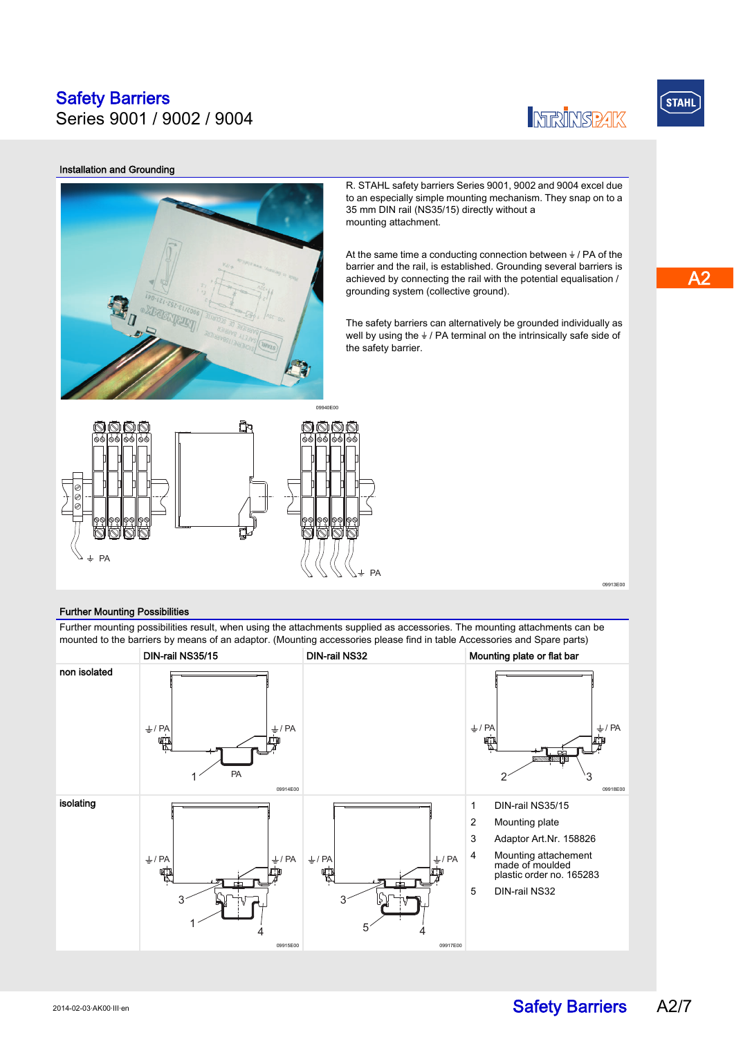Series 9001 / 9002 / 9004



## $S$ TAHL

### Installation and Grounding



R. STAHL safety barriers Series 9001, 9002 and 9004 excel due to an especially simple mounting mechanism. They snap on to a 35 mm DIN rail (NS35/15) directly without a mounting attachment.

At the same time a conducting connection between  $\frac{1}{2}$  / PA of the barrier and the rail, is established. Grounding several barriers is achieved by connecting the rail with the potential equalisation / grounding system (collective ground).

The safety barriers can alternatively be grounded individually as well by using the  $\frac{1}{2}$  / PA terminal on the intrinsically safe side of the safety barrier.



### Further Mounting Possibilities

Further mounting possibilities result, when using the attachments supplied as accessories. The mounting attachments can be mounted to the barriers by means of an adaptor. (Mounting accessories please find in table Accessories and Spare parts)



09913E00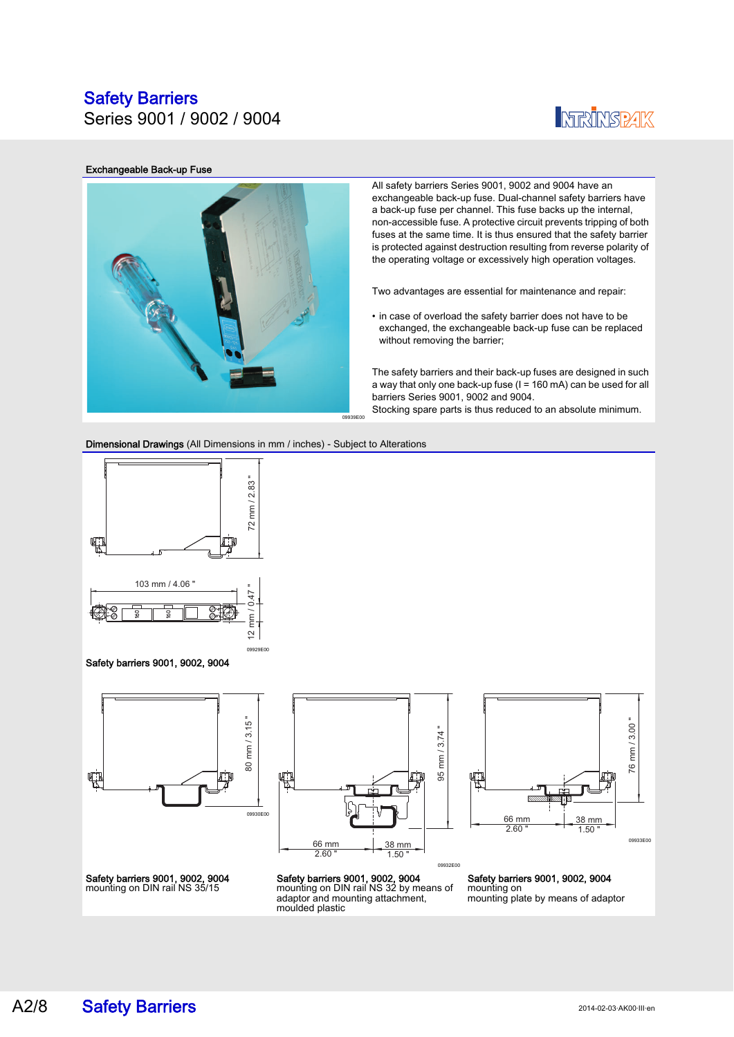Series 9001 / 9002 / 9004

## **INFRINSPAK**

### Exchangeable Back-up Fuse



All safety barriers Series 9001, 9002 and 9004 have an exchangeable back-up fuse. Dual-channel safety barriers have a back-up fuse per channel. This fuse backs up the internal, non-accessible fuse. A protective circuit prevents tripping of both fuses at the same time. It is thus ensured that the safety barrier is protected against destruction resulting from reverse polarity of the operating voltage or excessively high operation voltages.

Two advantages are essential for maintenance and repair:

• in case of overload the safety barrier does not have to be exchanged, the exchangeable back-up fuse can be replaced without removing the barrier;

The safety barriers and their back-up fuses are designed in such a way that only one back-up fuse  $(I = 160 \text{ mA})$  can be used for all barriers Series 9001, 9002 and 9004. Stocking spare parts is thus reduced to an absolute minimum.

Dimensional Drawings (All Dimensions in mm / inches) - Subject to Alterations

09929E00



Safety barriers 9001, 9002, 9004







09932E00



Safety barriers 9001, 9002, 9004 mounting on mounting plate by means of adaptor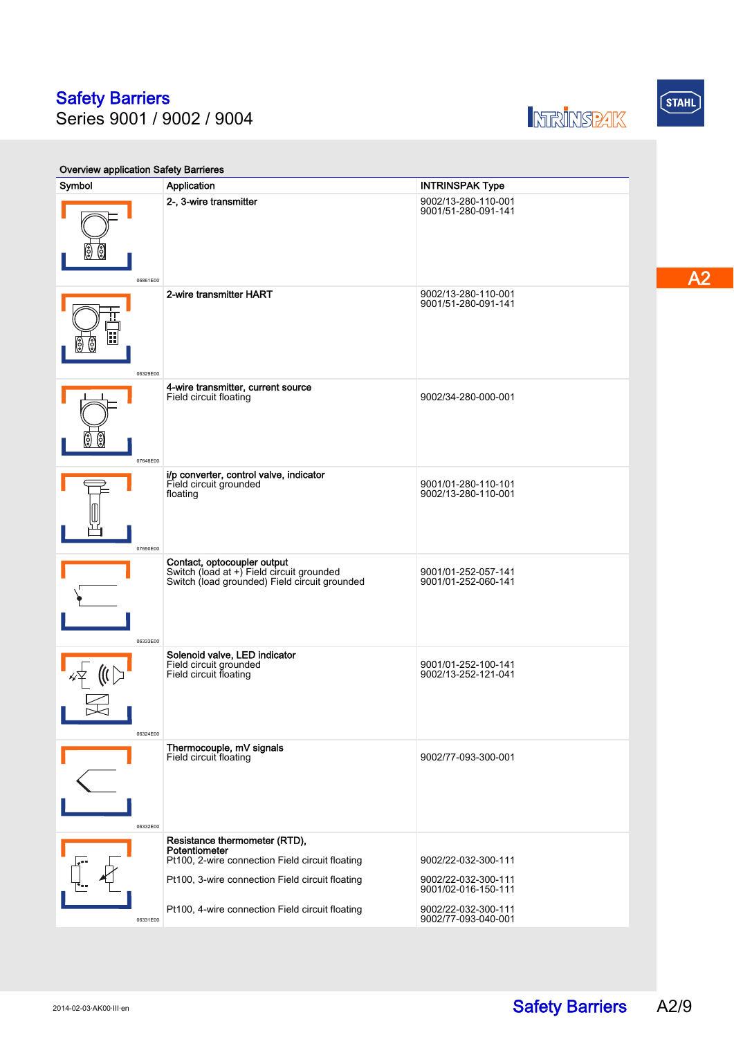Series 9001 / 9002 / 9004





 $\overline{A2}$ 

Overview application Safety Barrieres Symbol Application Application Application Application Application Application Application Application Application Application Application Application Application Application Application Application Application Application 06861E00 2-, 3-wire transmitter 9002/13-280-110-001 9001/51-280-091-141 06329E00 **2-wire transmitter HART** 9002/13-280-110-001 9001/51-280-091-141 07648E00 4-wire transmitter, current source Field circuit floating 9002/34-280-000-001 07650E00 **i/p converter, control valve, indicator**<br>Field circuit grounded floating 9001/01-280-110-101 9002/13-280-110-001 06333E00 **Contact, optocoupler output**<br>Switch (load at +) Field circuit grounded<br>Switch (load grounded) Field circuit grounded 9001/01-252-057-141 9001/01-252-060-141 06324E00 Solenoid valve, LED indicator Field circuit grounded Field circuit floating 9001/01-252-100-141 9002/13-252-121-041 06332E00 Thermocouple, mV signals Field circuit floating 9002/77-093-300-001 06331E00 Resistance thermometer (RTD), **Potentiometer**<br>Pt100, 2-wire connection Field circuit floating Pt100, 3-wire connection Field circuit floating Pt100, 4-wire connection Field circuit floating 9002/22-032-300-111 9002/22-032-300-111 9001/02-016-150-111 9002/22-032-300-111 9002/77-093-040-001